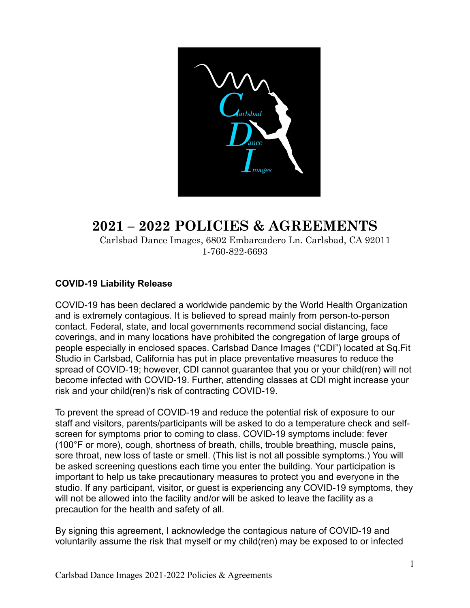

# **2021 – 2022 POLICIES & AGREEMENTS**

 Carlsbad Dance Images, 6802 Embarcadero Ln. Carlsbad, CA 92011 1-760-822-6693

## **COVID-19 Liability Release**

COVID-19 has been declared a worldwide pandemic by the World Health Organization and is extremely contagious. It is believed to spread mainly from person-to-person contact. Federal, state, and local governments recommend social distancing, face coverings, and in many locations have prohibited the congregation of large groups of people especially in enclosed spaces. Carlsbad Dance Images ("CDI") located at Sq.Fit Studio in Carlsbad, California has put in place preventative measures to reduce the spread of COVID-19; however, CDI cannot guarantee that you or your child(ren) will not become infected with COVID-19. Further, attending classes at CDI might increase your risk and your child(ren)'s risk of contracting COVID-19.

To prevent the spread of COVID-19 and reduce the potential risk of exposure to our staff and visitors, parents/participants will be asked to do a temperature check and selfscreen for symptoms prior to coming to class. COVID-19 symptoms include: fever (100°F or more), cough, shortness of breath, chills, trouble breathing, muscle pains, sore throat, new loss of taste or smell. (This list is not all possible symptoms.) You will be asked screening questions each time you enter the building. Your participation is important to help us take precautionary measures to protect you and everyone in the studio. If any participant, visitor, or guest is experiencing any COVID-19 symptoms, they will not be allowed into the facility and/or will be asked to leave the facility as a precaution for the health and safety of all.

By signing this agreement, I acknowledge the contagious nature of COVID-19 and voluntarily assume the risk that myself or my child(ren) may be exposed to or infected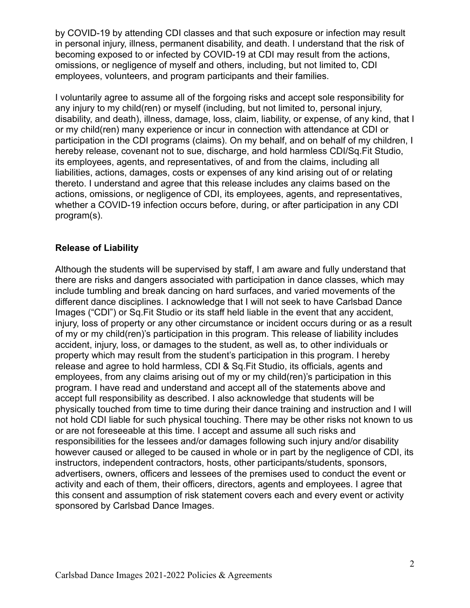by COVID-19 by attending CDI classes and that such exposure or infection may result in personal injury, illness, permanent disability, and death. I understand that the risk of becoming exposed to or infected by COVID-19 at CDI may result from the actions, omissions, or negligence of myself and others, including, but not limited to, CDI employees, volunteers, and program participants and their families.

I voluntarily agree to assume all of the forgoing risks and accept sole responsibility for any injury to my child(ren) or myself (including, but not limited to, personal injury, disability, and death), illness, damage, loss, claim, liability, or expense, of any kind, that I or my child(ren) many experience or incur in connection with attendance at CDI or participation in the CDI programs (claims). On my behalf, and on behalf of my children, I hereby release, covenant not to sue, discharge, and hold harmless CDI/Sq.Fit Studio, its employees, agents, and representatives, of and from the claims, including all liabilities, actions, damages, costs or expenses of any kind arising out of or relating thereto. I understand and agree that this release includes any claims based on the actions, omissions, or negligence of CDI, its employees, agents, and representatives, whether a COVID-19 infection occurs before, during, or after participation in any CDI program(s).

### **Release of Liability**

Although the students will be supervised by staff, I am aware and fully understand that there are risks and dangers associated with participation in dance classes, which may include tumbling and break dancing on hard surfaces, and varied movements of the different dance disciplines. I acknowledge that I will not seek to have Carlsbad Dance Images ("CDI") or Sq.Fit Studio or its staff held liable in the event that any accident, injury, loss of property or any other circumstance or incident occurs during or as a result of my or my child(ren)'s participation in this program. This release of liability includes accident, injury, loss, or damages to the student, as well as, to other individuals or property which may result from the student's participation in this program. I hereby release and agree to hold harmless, CDI & Sq.Fit Studio, its officials, agents and employees, from any claims arising out of my or my child(ren)'s participation in this program. I have read and understand and accept all of the statements above and accept full responsibility as described. I also acknowledge that students will be physically touched from time to time during their dance training and instruction and I will not hold CDI liable for such physical touching. There may be other risks not known to us or are not foreseeable at this time. I accept and assume all such risks and responsibilities for the lessees and/or damages following such injury and/or disability however caused or alleged to be caused in whole or in part by the negligence of CDI, its instructors, independent contractors, hosts, other participants/students, sponsors, advertisers, owners, officers and lessees of the premises used to conduct the event or activity and each of them, their officers, directors, agents and employees. I agree that this consent and assumption of risk statement covers each and every event or activity sponsored by Carlsbad Dance Images.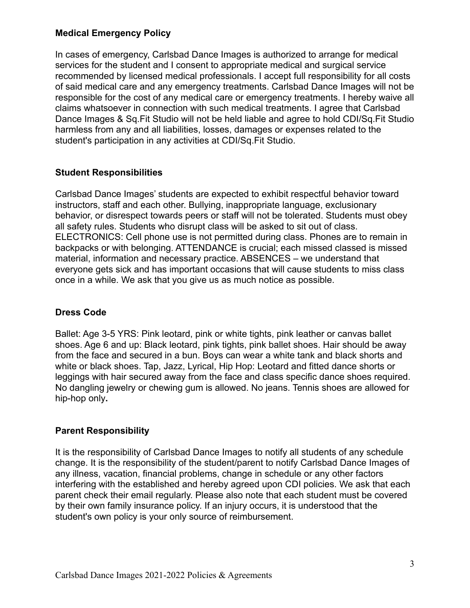## **Medical Emergency Policy**

In cases of emergency, Carlsbad Dance Images is authorized to arrange for medical services for the student and I consent to appropriate medical and surgical service recommended by licensed medical professionals. I accept full responsibility for all costs of said medical care and any emergency treatments. Carlsbad Dance Images will not be responsible for the cost of any medical care or emergency treatments. I hereby waive all claims whatsoever in connection with such medical treatments. I agree that Carlsbad Dance Images & Sq.Fit Studio will not be held liable and agree to hold CDI/Sq.Fit Studio harmless from any and all liabilities, losses, damages or expenses related to the student's participation in any activities at CDI/Sq.Fit Studio.

### **Student Responsibilities**

Carlsbad Dance Images' students are expected to exhibit respectful behavior toward instructors, staff and each other. Bullying, inappropriate language, exclusionary behavior, or disrespect towards peers or staff will not be tolerated. Students must obey all safety rules. Students who disrupt class will be asked to sit out of class. ELECTRONICS: Cell phone use is not permitted during class. Phones are to remain in backpacks or with belonging. ATTENDANCE is crucial; each missed classed is missed material, information and necessary practice. ABSENCES – we understand that everyone gets sick and has important occasions that will cause students to miss class once in a while. We ask that you give us as much notice as possible.

#### **Dress Code**

Ballet: Age 3-5 YRS: Pink leotard, pink or white tights, pink leather or canvas ballet shoes. Age 6 and up: Black leotard, pink tights, pink ballet shoes. Hair should be away from the face and secured in a bun. Boys can wear a white tank and black shorts and white or black shoes. Tap, Jazz, Lyrical, Hip Hop: Leotard and fitted dance shorts or leggings with hair secured away from the face and class specific dance shoes required. No dangling jewelry or chewing gum is allowed. No jeans. Tennis shoes are allowed for hip-hop only**.**

## **Parent Responsibility**

It is the responsibility of Carlsbad Dance Images to notify all students of any schedule change. It is the responsibility of the student/parent to notify Carlsbad Dance Images of any illness, vacation, financial problems, change in schedule or any other factors interfering with the established and hereby agreed upon CDI policies. We ask that each parent check their email regularly. Please also note that each student must be covered by their own family insurance policy. If an injury occurs, it is understood that the student's own policy is your only source of reimbursement.